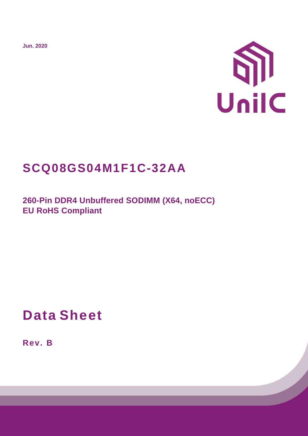**Jun. 2020**



# **SCQ08GS04M1F1C-32AA**

**260-Pin DDR4 Unbuffered SODIMM (X64, noECC) EU RoHS Compliant** 

**Data Sheet**

**Rev. B**

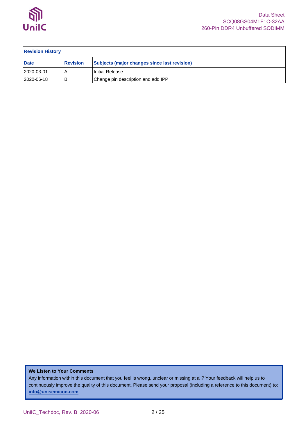

| <b>Revision History</b> |                 |                                              |  |  |  |  |  |
|-------------------------|-----------------|----------------------------------------------|--|--|--|--|--|
| <b>Date</b>             | <b>Revision</b> | Subjects (major changes since last revision) |  |  |  |  |  |
| 2020-03-01              |                 | Initial Release                              |  |  |  |  |  |
| 2020-06-18              | В               | Change pin description and add IPP           |  |  |  |  |  |

**We Listen to Your Comments**

Any information within this document that you feel is wrong, unclear or missing at all? Your feedback will help us to continuously improve the quality of this document. Please send your proposal (including a reference to this document) to: **[info@unisemicon.com](mailto:info@scsemicon.com)**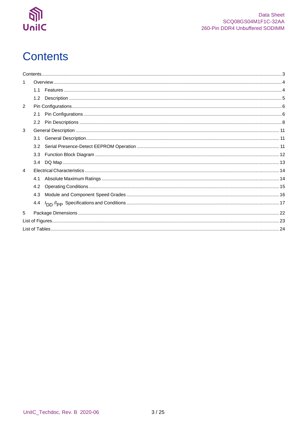

# <span id="page-2-0"></span>**Contents**

| 1              |     |  |
|----------------|-----|--|
|                | 1.1 |  |
|                | 1.2 |  |
| 2              |     |  |
|                | 2.1 |  |
|                |     |  |
| 3              |     |  |
|                | 3.1 |  |
|                | 3.2 |  |
|                | 3.3 |  |
|                | 3.4 |  |
| $\overline{4}$ |     |  |
|                | 4.1 |  |
|                | 4.2 |  |
|                | 4.3 |  |
|                | 4.4 |  |
| 5              |     |  |
|                |     |  |
|                |     |  |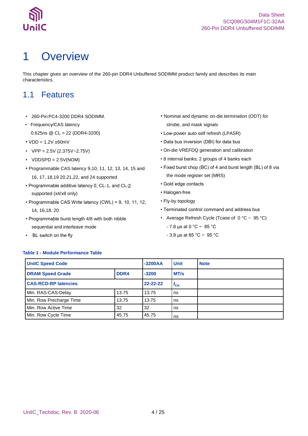

# <span id="page-3-0"></span>1 Overview

This chapter gives an overview of the 260-pin DDR4 Unbuffered SODIMM product family and describes its main characteristics.

### <span id="page-3-1"></span>1.1 Features

- 260-Pin PC4-3200 DDR4 SODIMM.
- Frequency/CAS latency 0.625ns @ CL = 22 (DDR4-3200)
- $VDD = 1.2V \pm 60mV$
- $VPP = 2.5V (2.375V 2.75V)$
- $VDDSPD = 2.5V(NOM)$
- Programmable CAS latency 9,10, 11, 12, 13, 14, 15 and 16, 17, 18,19 20,21,22, and 24 supported
- Programmable additive latency 0, CL-1, and CLsupported (x4/x8 only)
- Programmable CAS Write latency (CWL) = 9, 10, 11, 12, 14, 16,18, 20
- Programmable burst length 4/8 with both nibble sequential and interleave mode
- BL switch on the fly
- Nominal and dynamic on-die termination (ODT) for strobe, and mask signals
- Low-power auto self refresh (LPASR)
- Data bus inversion (DBI) for data bus
- On-die VREFDQ generation and calibration
- 8 internal banks; 2 groups of 4 banks each
- Fixed burst chop (BC) of 4 and burst length (BL) of 8 via the mode register set (MRS)
- Gold edge contacts
- Halogen-free
- Fly-by topology
- Terminated control command and address bus
- Average Refresh Cycle (Tcase of  $0 °C \sim 95 °C$ )
	- $7.8 \,\mu s$  at 0 °C ~ 85 °C
	- 3.9 μs at 85 °C ~ 95 °C

#### <span id="page-3-2"></span>**Table 1 - Module Performance Table**

| <b>UnilC Speed Code</b>     |                | $-3200AA$ | <b>Unit</b> | <b>Note</b> |
|-----------------------------|----------------|-----------|-------------|-------------|
| <b>DRAM Speed Grade</b>     | DDR4           | $-3200$   | MT/s        |             |
| <b>CAS-RCD-RP latencies</b> | $22 - 22 - 22$ | $t_{CK}$  |             |             |
| Min. RAS-CAS-Delay          | 13.75          | 13.75     | ns          |             |
| Min. Row Precharge Time     | 13.75          | 13.75     | ns          |             |
| Min. Row Active Time        | 32             | ns        |             |             |
| Min. Row Cycle Time         | 45.75          | 45.75     | ns          |             |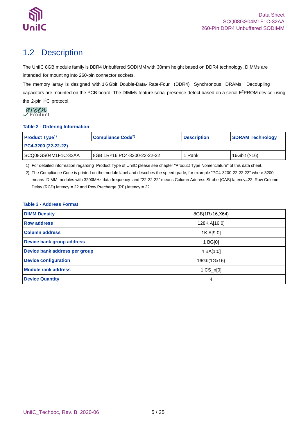

### <span id="page-4-0"></span>1.2 Description

The UniIC 8GB module family is DDR4 Unbuffered SODIMM with 30mm height based on DDR4 technology. DIMMs are intended for mounting into 260-pin connector sockets.

The memory array is designed with 1 6 Gbit Double-Data- Rate-Four (DDR4) Synchronous DRAMs. Decoupling capacitors are mounted on the PCB board. The DIMMs feature serial presence detect based on a serial E <sup>2</sup>PROM device using the 2-pin I<sup>2</sup>C protocol.

#### <span id="page-4-1"></span>**Table 2 - Ordering Information**

| <b>Product Type<sup>1)</sup></b> | Compliance Code <sup>2)</sup> | <b>Description</b> | <b>SDRAM Technology</b> |  |  |  |  |
|----------------------------------|-------------------------------|--------------------|-------------------------|--|--|--|--|
| PC4-3200 (22-22-22)              |                               |                    |                         |  |  |  |  |
| I SCQ08GS04M1F1C-32AA            | 8GB 1R×16 PC4-3200-22-22-22   | Rank               | 16Gbit $(x16)$          |  |  |  |  |

1) For detailed information regarding Product Type of UniIC please see chapter "Product Type Nomenclature" of this data sheet.

2) The Compliance Code is printed on the module label and describes the speed grade, for example "PC4-3200-22-22-22" where 3200 means DIMM modules with 3200MHz data frequency and "22-22-22" means Column Address Strobe (CAS) latency=22, Row Column Delay (RCD) latency = 22 and Row Precharge (RP) latency = 22.

### <span id="page-4-2"></span>**Table 3 - Address Format**

| <b>DIMM Density</b>           | 8GB(1Rx16,X64)      |
|-------------------------------|---------------------|
| <b>Row address</b>            | 128K A[16:0]        |
| <b>Column address</b>         | 1K A[9:0]           |
| Device bank group address     | 1 BGI0              |
| Device bank address per group | 4 BA[1:0]           |
| <b>Device configuration</b>   | 16Gb(1Gx16)         |
| <b>Module rank address</b>    | $1 \text{ CS}$ n[0] |
| <b>Device Quantity</b>        | 4                   |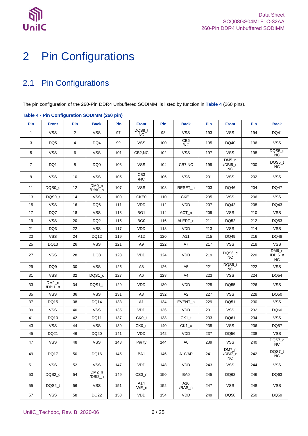

# <span id="page-5-0"></span>2 Pin Configurations

### <span id="page-5-1"></span>2.1 Pin Configurations

The pin configuration of the 260-Pin DDR4 Unbuffered SODIMM is listed by function in **[Table 4](#page-5-2)** (260 pins).

|                | rable $+$ - $\cdots$ configuration copilities (200 pm) |                |                    |     |                        |     |                        |     |                                 |     |                                  |
|----------------|--------------------------------------------------------|----------------|--------------------|-----|------------------------|-----|------------------------|-----|---------------------------------|-----|----------------------------------|
| Pin            | <b>Front</b>                                           | Pin            | <b>Back</b>        | Pin | <b>Front</b>           | Pin | <b>Back</b>            | Pin | <b>Front</b>                    | Pin | <b>Back</b>                      |
| $\mathbf{1}$   | <b>VSS</b>                                             | $\overline{2}$ | VSS                | 97  | DQS8_t<br>NC           | 98  | <b>VSS</b>             | 193 | <b>VSS</b>                      | 194 | DQ41                             |
| 3              | DQ <sub>5</sub>                                        | 4              | DQ4                | 99  | <b>VSS</b>             | 100 | CB <sub>6</sub><br>/NC | 195 | DQ40                            | 196 | <b>VSS</b>                       |
| 5              | <b>VSS</b>                                             | 6              | VSS                | 101 | CB2,NC                 | 102 | VSS                    | 197 | <b>VSS</b>                      | 198 | DQS5_c<br>NC                     |
| $\overline{7}$ | DQ1                                                    | 8              | DQ0                | 103 | <b>VSS</b>             | 104 | CB7,NC                 | 199 | $DM5_n$<br>/DBI5_n<br><b>NC</b> | 200 | DQS5_t<br>NC                     |
| 9              | <b>VSS</b>                                             | 10             | VSS                | 105 | CB <sub>3</sub><br>/NC | 106 | <b>VSS</b>             | 201 | <b>VSS</b>                      | 202 | <b>VSS</b>                       |
| 11             | DQS0 c                                                 | 12             | $DMO_n$<br>/DBI0_n | 107 | <b>VSS</b>             | 108 | RESET_n                | 203 | DQ46                            | 204 | <b>DQ47</b>                      |
| 13             | DQS0_t                                                 | 14             | <b>VSS</b>         | 109 | CKE0                   | 110 | CKE1                   | 205 | <b>VSS</b>                      | 206 | <b>VSS</b>                       |
| 15             | <b>VSS</b>                                             | 16             | DQ6                | 111 | <b>VDD</b>             | 112 | <b>VDD</b>             | 207 | DQ42                            | 208 | DQ43                             |
| 17             | DQ7                                                    | 18             | <b>VSS</b>         | 113 | BG1                    | 114 | $ACT_n$                | 209 | <b>VSS</b>                      | 210 | <b>VSS</b>                       |
| 19             | <b>VSS</b>                                             | 20             | DQ <sub>2</sub>    | 115 | BG <sub>0</sub>        | 116 | ALERT_n                | 211 | DQ52                            | 212 | DQ53                             |
| 21             | DQ3                                                    | 22             | <b>VSS</b>         | 117 | <b>VDD</b>             | 118 | <b>VDD</b>             | 213 | <b>VSS</b>                      | 214 | <b>VSS</b>                       |
| 23             | <b>VSS</b>                                             | 24             | DQ12               | 119 | A12                    | 120 | A11                    | 215 | DQ49                            | 216 | DQ48                             |
| 25             | DQ13                                                   | 26             | <b>VSS</b>         | 121 | A9                     | 122 | A7                     | 217 | <b>VSS</b>                      | 218 | <b>VSS</b>                       |
| 27             | <b>VSS</b>                                             | 28             | DQ8                | 123 | VDD                    | 124 | <b>VDD</b>             | 219 | DQS6_c<br>$NC$                  | 220 | $DM6_n$<br>/DBI6_n<br>${\sf NC}$ |
| 29             | DQ <sub>9</sub>                                        | 30             | <b>VSS</b>         | 125 | A <sub>8</sub>         | 126 | A <sub>5</sub>         | 221 | DQS6_t<br><b>NC</b>             | 222 | <b>VSS</b>                       |
| 31             | <b>VSS</b>                                             | 32             | DQS1_c             | 127 | A6                     | 128 | A4                     | 223 | <b>VSS</b>                      | 224 | DQ54                             |
| 33             | $DM1_n$<br>/DBI1_n                                     | 34             | DQS1_t             | 129 | <b>VDD</b>             | 130 | <b>VDD</b>             | 225 | <b>DQ55</b>                     | 226 | <b>VSS</b>                       |
| 35             | <b>VSS</b>                                             | 36             | <b>VSS</b>         | 131 | A <sub>3</sub>         | 132 | A2                     | 227 | <b>VSS</b>                      | 228 | DQ50                             |
| 37             | DQ15                                                   | 38             | DQ14               | 133 | A <sub>1</sub>         | 134 | EVENT_n                | 229 | DQ51                            | 230 | <b>VSS</b>                       |
| 39             | <b>VSS</b>                                             | 40             | <b>VSS</b>         | 135 | <b>VDD</b>             | 136 | <b>VDD</b>             | 231 | <b>VSS</b>                      | 232 | DQ60                             |
| 41             | DQ10                                                   | 42             | DQ11               | 137 | $CKO_t$                | 138 | $CK1_t$                | 233 | DQ61                            | 234 | <b>VSS</b>                       |
| 43             | <b>VSS</b>                                             | 44             | <b>VSS</b>         | 139 | $CKO_{c}$              | 140 | $CK1_c$                | 235 | <b>VSS</b>                      | 236 | <b>DQ57</b>                      |
| 45             | DQ21                                                   | 46             | DQ20               | 141 | <b>VDD</b>             | 142 | VDD                    | 237 | DQ56                            | 238 | <b>VSS</b>                       |
| 47             | <b>VSS</b>                                             | 48             | <b>VSS</b>         | 143 | Parity                 | 144 | A <sub>0</sub>         | 239 | <b>VSS</b>                      | 240 | DQS7_c<br>${\sf NC}$             |
| 49             | DQ17                                                   | 50             | DQ16               | 145 | BA1                    | 146 | A10/AP                 | 241 | DM/_n<br>/DBI7_n<br><b>NC</b>   | 242 | DQS7_t<br>NC.                    |
| 51             | <b>VSS</b>                                             | 52             | <b>VSS</b>         | 147 | VDD                    | 148 | <b>VDD</b>             | 243 | <b>VSS</b>                      | 244 | <b>VSS</b>                       |
| 53             | DQS2 c                                                 | 54             | DM2_n<br>/DBI2_n   | 149 | $CSO_n$                | 150 | BA0                    | 245 | DQ62                            | 246 | DQ63                             |
| 55             | DQS2_t                                                 | 56             | <b>VSS</b>         | 151 | A14<br>$/WE_n$         | 152 | A16<br>/RAS_n          | 247 | <b>VSS</b>                      | 248 | <b>VSS</b>                       |
| 57             | <b>VSS</b>                                             | 58             | DQ22               | 153 | VDD                    | 154 | VDD                    | 249 | DQ58                            | 250 | DQ59                             |

### <span id="page-5-2"></span>**Table 4 - Pin Configuration SODIMM (260 pin)**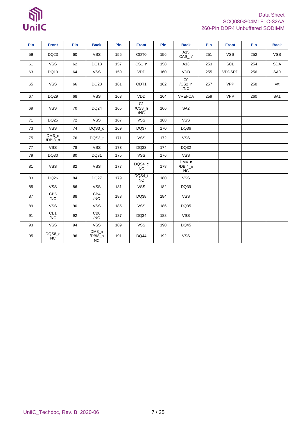# $\mathbb{S}$ UnilC

### Data Sheet SCQ08GS04M1F1C-32AA 260-Pin DDR4 Unbuffered SODIMM

| Pin | <b>Front</b>           | <b>Pin</b> | <b>Back</b>            | Pin | <b>Front</b>                    | Pin | <b>Back</b>                   | Pin | <b>Front</b>  | <b>Pin</b> | <b>Back</b>     |
|-----|------------------------|------------|------------------------|-----|---------------------------------|-----|-------------------------------|-----|---------------|------------|-----------------|
| 59  | DQ23                   | 60         | <b>VSS</b>             | 155 | ODT0                            | 156 | A15<br>$CAS_n/$               | 251 | <b>VSS</b>    | 252        | <b>VSS</b>      |
| 61  | <b>VSS</b>             | 62         | <b>DQ18</b>            | 157 | $CS1_n$                         | 158 | A13                           | 253 | SCL           | 254        | <b>SDA</b>      |
| 63  | DQ19                   | 64         | <b>VSS</b>             | 159 | VDD                             | 160 | <b>VDD</b>                    | 255 | <b>VDDSPD</b> | 256        | SA0             |
| 65  | <b>VSS</b>             | 66         | <b>DQ28</b>            | 161 | ODT <sub>1</sub>                | 162 | Co<br>$/CS2_n$<br>/NC         | 257 | <b>VPP</b>    | 258        | Vtt             |
| 67  | DQ29                   | 68         | <b>VSS</b>             | 163 | <b>VDD</b>                      | 164 | <b>VREFCA</b>                 | 259 | <b>VPP</b>    | 260        | SA <sub>1</sub> |
| 69  | <b>VSS</b>             | 70         | <b>DQ24</b>            | 165 | C <sub>1</sub><br>/CS3_n<br>/NC | 166 | SA <sub>2</sub>               |     |               |            |                 |
| 71  | DQ25                   | 72         | <b>VSS</b>             | 167 | <b>VSS</b>                      | 168 | <b>VSS</b>                    |     |               |            |                 |
| 73  | <b>VSS</b>             | 74         | DQS3_c                 | 169 | DQ37                            | 170 | DQ36                          |     |               |            |                 |
| 75  | $DM3_n$<br>/DBI3_n     | 76         | DQS3 t                 | 171 | <b>VSS</b>                      | 172 | <b>VSS</b>                    |     |               |            |                 |
| 77  | <b>VSS</b>             | 78         | <b>VSS</b>             | 173 | DQ33                            | 174 | DQ32                          |     |               |            |                 |
| 79  | DQ30                   | 80         | DQ31                   | 175 | <b>VSS</b>                      | 176 | <b>VSS</b>                    |     |               |            |                 |
| 81  | <b>VSS</b>             | 82         | <b>VSS</b>             | 177 | DQS4_c<br><b>NC</b>             | 178 | DM4 n<br>/DBI4_n<br><b>NC</b> |     |               |            |                 |
| 83  | DQ26                   | 84         | DQ27                   | 179 | DQS4_t<br>NC                    | 180 | <b>VSS</b>                    |     |               |            |                 |
| 85  | <b>VSS</b>             | 86         | <b>VSS</b>             | 181 | <b>VSS</b>                      | 182 | DQ39                          |     |               |            |                 |
| 87  | CB <sub>5</sub><br>/NC | 88         | CB4<br>/NC             | 183 | DQ38                            | 184 | <b>VSS</b>                    |     |               |            |                 |
| 89  | <b>VSS</b>             | 90         | <b>VSS</b>             | 185 | <b>VSS</b>                      | 186 | DQ35                          |     |               |            |                 |
| 91  | CB1<br>/NC             | 92         | CB <sub>0</sub><br>/NC | 187 | DQ34                            | 188 | <b>VSS</b>                    |     |               |            |                 |
| 93  | <b>VSS</b>             | 94         | <b>VSS</b>             | 189 | <b>VSS</b>                      | 190 | DQ45                          |     |               |            |                 |
| 95  | DQS8_c<br>NC           | 96         | DM8_n<br>/DBI8_n<br>NC | 191 | <b>DQ44</b>                     | 192 | <b>VSS</b>                    |     |               |            |                 |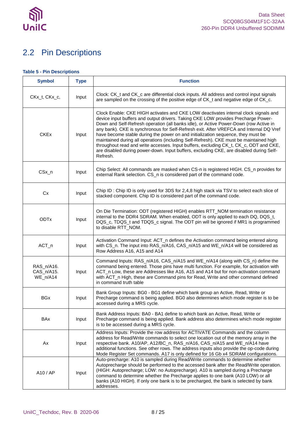

### <span id="page-7-0"></span>2.2 Pin Descriptions

### <span id="page-7-1"></span>**Table 5 - Pin Descriptions**

| <b>Symbol</b>                        | <b>Type</b> | <b>Function</b>                                                                                                                                                                                                                                                                                                                                                                                                                                                                                                                                                                                                                                                                                                                           |
|--------------------------------------|-------------|-------------------------------------------------------------------------------------------------------------------------------------------------------------------------------------------------------------------------------------------------------------------------------------------------------------------------------------------------------------------------------------------------------------------------------------------------------------------------------------------------------------------------------------------------------------------------------------------------------------------------------------------------------------------------------------------------------------------------------------------|
| CKx_t, CKx_c,                        | Input       | Clock: CK_t and CK_c are differential clock inputs. All address and control input signals<br>are sampled on the crossing of the positive edge of CK_t and negative edge of CK_c.                                                                                                                                                                                                                                                                                                                                                                                                                                                                                                                                                          |
| <b>CKEx</b>                          | Input       | Clock Enable: CKE HIGH activates and CKE LOW deactivates internal clock signals and<br>device input buffers and output drivers. Taking CKE LOW provides Precharge Power-<br>Down and Self-Refresh operation (all banks idle), or Active Power-Down (row Active in<br>any bank). CKE is synchronous for Self-Refresh exit. After VREFCA and Internal DQ Vref<br>have become stable during the power on and initialization sequence, they must be<br>maintained during all operations (including Self-Refresh). CKE must be maintained high<br>throughout read and write accesses. Input buffers, excluding CK_t, CK_c, ODT and CKE,<br>are disabled during power-down. Input buffers, excluding CKE, are disabled during Self-<br>Refresh. |
| CSx_n                                | Input       | Chip Select: All commands are masked when CS-n is registered HIGH. CS_n provides for<br>external Rank selection. CS_n is considered part of the command code.                                                                                                                                                                                                                                                                                                                                                                                                                                                                                                                                                                             |
| Cx                                   | Input       | Chip ID: Chip ID is only used for 3DS for 2,4,8 high stack via TSV to select each slice of<br>stacked component. Chip ID is considered part of the command code.                                                                                                                                                                                                                                                                                                                                                                                                                                                                                                                                                                          |
| <b>ODTx</b>                          | Input       | On Die Termination: ODT (registered HIGH) enables RTT_NOM termination resistance<br>internal to the DDR4 SDRAM. When enabled, ODT is only applied to each DQ, DQS_t,<br>DQS_c, TDQS_t and TDQS_c signal. The ODT pin will be ignored if MR1 is programmed<br>to disable RTT_NOM.                                                                                                                                                                                                                                                                                                                                                                                                                                                          |
| ACT_n                                | Input       | Activation Command Input: ACT_n defines the Activation command being entered along<br>with CS_n. The input into RAS_n/A16, CAS_n/A15 and WE_n/A14 will be considered as<br>Row Address A16, A15 and A14                                                                                                                                                                                                                                                                                                                                                                                                                                                                                                                                   |
| RAS_n/A16.<br>CAS_n/A15.<br>WE_n/A14 | Input       | Command Inputs: RAS_n/A16, CAS_n/A15 and WE_n/A14 (along with CS_n) define the<br>command being entered. Those pins have multi function. For example, for activation with<br>ACT_n Low, these are Addresses like A16, A15 and A14 but for non-activation command<br>with ACT_n High, these are Command pins for Read, Write and other command defined<br>in command truth table                                                                                                                                                                                                                                                                                                                                                           |
| <b>BGx</b>                           | Input       | Bank Group Inputs: BG0 - BG1 define which bank group an Active, Read, Write or<br>Precharge command is being applied. BG0 also determines which mode register is to be<br>accessed during a MRS cycle.                                                                                                                                                                                                                                                                                                                                                                                                                                                                                                                                    |
| BAx                                  | Input       | Bank Address Inputs: BA0 - BA1 define to which bank an Active, Read, Write or<br>Precharge command is being applied. Bank address also determines which mode register<br>is to be accessed during a MRS cycle.                                                                                                                                                                                                                                                                                                                                                                                                                                                                                                                            |
| Ax                                   | Input       | Address Inputs: Provide the row address for ACTIVATE Commands and the column<br>address for Read/Write commands to select one location out of the memory array in the<br>respective bank. A10/AP, A12/BC_n, RAS_n/A16, CAS_n/A15 and WE_n/A14 have<br>additional functions. See other rows. The address inputs also provide the op-code during<br>Mode Register Set commands. A17 is only defined for 16 Gb x4 SDRAM configurations.                                                                                                                                                                                                                                                                                                      |
| A10 / AP                             | Input       | Auto-precharge: A10 is sampled during Read/Write commands to determine whether<br>Autoprecharge should be performed to the accessed bank after the Read/Write operation.<br>(HIGH: Autoprecharge; LOW: no Autoprecharge). A10 is sampled during a Precharge<br>command to determine whether the Precharge applies to one bank (A10 LOW) or all<br>banks (A10 HIGH). If only one bank is to be precharged, the bank is selected by bank<br>addresses.                                                                                                                                                                                                                                                                                      |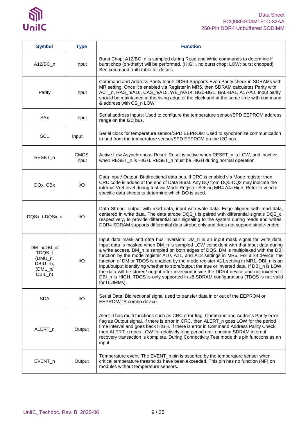

| <b>Symbol</b>                                                          | <b>Type</b>             | <b>Function</b>                                                                                                                                                                                                                                                                                                                                                                                                                                                                                                                                                                                                                                                                                                                                              |
|------------------------------------------------------------------------|-------------------------|--------------------------------------------------------------------------------------------------------------------------------------------------------------------------------------------------------------------------------------------------------------------------------------------------------------------------------------------------------------------------------------------------------------------------------------------------------------------------------------------------------------------------------------------------------------------------------------------------------------------------------------------------------------------------------------------------------------------------------------------------------------|
| $A12/BC_n$                                                             | Input                   | Burst Chop: A12/BC_n is sampled during Read and Write commands to determine if<br>burst chop (on-thefly) will be performed. (HIGH, no burst chop; LOW: burst chopped).<br>See command truth table for details.                                                                                                                                                                                                                                                                                                                                                                                                                                                                                                                                               |
| Parity                                                                 | Input                   | Command and Address Parity Input: DDR4 Supports Even Parity check in SDRAMs with<br>MR setting. Once it's enabled via Register in MR5, then SDRAM calculates Parity with<br>ACT_n, RAS_n/A16, CAS_n/A15, WE_n/A14, BG0-BG1, BA0-BA1, A17-A0. Input parity<br>should be maintained at the rising edge of the clock and at the same time with command<br>& address with CS_n LOW                                                                                                                                                                                                                                                                                                                                                                               |
| SAx                                                                    | Input                   | Serial address inputs: Used to configure the temperature sensor/SPD EEPROM address<br>range on the I2C bus.                                                                                                                                                                                                                                                                                                                                                                                                                                                                                                                                                                                                                                                  |
| <b>SCL</b>                                                             | Input                   | Serial clock for temperature sensor/SPD EEPROM: Used to synchronize communication<br>to and from the temperature sensor/SPD EEPROM on the I2C bus.                                                                                                                                                                                                                                                                                                                                                                                                                                                                                                                                                                                                           |
| RESET_n                                                                | <b>CMOS</b><br>Input    | Active Low Asynchronous Reset: Reset is active when RESET_n is LOW, and inactive<br>when RESET_n is HIGH. RESET_n must be HIGH during normal operation.                                                                                                                                                                                                                                                                                                                                                                                                                                                                                                                                                                                                      |
| DQx, CBx                                                               | I/O                     | Data Input/ Output: Bi-directional data bus. If CRC is enabled via Mode register then<br>CRC code is added at the end of Data Burst. Any DQ from DQ0-DQ3 may indicate the<br>internal Vref level during test via Mode Register Setting MR4 A4=High. Refer to vendor<br>specific data sheets to determine which DQ is used.                                                                                                                                                                                                                                                                                                                                                                                                                                   |
| DQSx_t-DQSx_c                                                          | $\mathsf{I}/\mathsf{O}$ | Data Strobe: output with read data, input with write data. Edge-aligned with read data,<br>centered in write data. The data strobe DQS_t is paired with differential signals DQS_c,<br>respectively, to provide differential pair signaling to the system during reads and writes.<br>DDR4 SDRAM supports differential data strobe only and does not support single-ended.                                                                                                                                                                                                                                                                                                                                                                                   |
| DM_n/DBI_n/<br>TDQS_t<br>(DMU_n,<br>DBIU_n),<br>$(DML_n/$<br>$DBIL_n)$ | I/O                     | Input data mask and data bus inversion: DM_n is an input mask signal for write data.<br>Input data is masked when DM_n is sampled LOW coincident with that input data during<br>a write access. DM_n is sampled on both edges of DQS. DM is multiplexed with the DBI<br>function by the mode register A10, A11, and A12 settings in MR5. For a x8 device, the<br>function of DM or TDQS is enabled by the mode register A11 setting in MR1. DBI_n is an<br>input/output identifying whether to store/output the true or inverted data. If DBI_n is LOW,<br>the data will be stored/ output after inversion inside the DDR4 device and not inverted if<br>DBI_n is HIGH. TDQS is only supported in x8 SDRAM configurations (TDQS is not valid<br>for UDIMMs). |
| <b>SDA</b>                                                             | I/O                     | Serial Data: Bidirectional signal used to transfer data in or out of the EEPROM or<br>EEPROM/TS combo device.                                                                                                                                                                                                                                                                                                                                                                                                                                                                                                                                                                                                                                                |
| ALERT_n                                                                | Output                  | Alert: It has multi functions such as CRC error flag, Command and Address Parity error<br>flag as Output signal. If there is error in CRC, then ALERT_n goes LOW for the period<br>time interval and goes back HIGH. If there is error in Command Address Parity Check,<br>then ALERT_n goes LOW for relatively long period until ongoing SDRAM internal<br>recovery transaction is complete. During Connectivity Test mode this pin functions as an<br>input.                                                                                                                                                                                                                                                                                               |
| EVENT_n                                                                | Output                  | Temperature event: The EVENT_n pin is asserted by the temperature sensor when<br>critical temperature thresholds have been exceeded. This pin has no function (NF) on<br>modules without temperature sensors.                                                                                                                                                                                                                                                                                                                                                                                                                                                                                                                                                |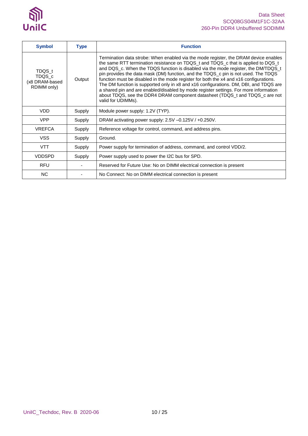

| <b>Symbol</b>                                     | <b>Type</b> | <b>Function</b>                                                                                                                                                                                                                                                                                                                                                                                                                                                                                                                                                                                                                                                                                                                         |
|---------------------------------------------------|-------------|-----------------------------------------------------------------------------------------------------------------------------------------------------------------------------------------------------------------------------------------------------------------------------------------------------------------------------------------------------------------------------------------------------------------------------------------------------------------------------------------------------------------------------------------------------------------------------------------------------------------------------------------------------------------------------------------------------------------------------------------|
| TDQS t<br>TDQS_c<br>(x8 DRAM-based<br>RDIMM only) | Output      | Termination data strobe: When enabled via the mode register, the DRAM device enables<br>the same RTT termination resistance on TDQS_t and TDQS_c that is applied to DQS_t<br>and DQS_c. When the TDQS function is disabled via the mode register, the DM/TDQS_t<br>pin provides the data mask (DM) function, and the TDQS c pin is not used. The TDQS<br>function must be disabled in the mode register for both the x4 and x16 configurations.<br>The DM function is supported only in x8 and x16 configurations. DM, DBI, and TDQS are<br>a shared pin and are enabled/disabled by mode register settings. For more information<br>about TDQS, see the DDR4 DRAM component datasheet (TDQS_t and TDQS_c are not<br>valid for UDIMMs). |
| <b>VDD</b>                                        | Supply      | Module power supply: 1.2V (TYP).                                                                                                                                                                                                                                                                                                                                                                                                                                                                                                                                                                                                                                                                                                        |
| <b>VPP</b>                                        | Supply      | DRAM activating power supply: 2.5V -0.125V / +0.250V.                                                                                                                                                                                                                                                                                                                                                                                                                                                                                                                                                                                                                                                                                   |
| <b>VREFCA</b>                                     | Supply      | Reference voltage for control, command, and address pins.                                                                                                                                                                                                                                                                                                                                                                                                                                                                                                                                                                                                                                                                               |
| <b>VSS</b>                                        | Supply      | Ground.                                                                                                                                                                                                                                                                                                                                                                                                                                                                                                                                                                                                                                                                                                                                 |
| <b>VTT</b>                                        | Supply      | Power supply for termination of address, command, and control VDD/2.                                                                                                                                                                                                                                                                                                                                                                                                                                                                                                                                                                                                                                                                    |
| <b>VDDSPD</b>                                     | Supply      | Power supply used to power the I2C bus for SPD.                                                                                                                                                                                                                                                                                                                                                                                                                                                                                                                                                                                                                                                                                         |
| <b>RFU</b>                                        |             | Reserved for Future Use: No on DIMM electrical connection is present                                                                                                                                                                                                                                                                                                                                                                                                                                                                                                                                                                                                                                                                    |
| <b>NC</b>                                         |             | No Connect: No on DIMM electrical connection is present                                                                                                                                                                                                                                                                                                                                                                                                                                                                                                                                                                                                                                                                                 |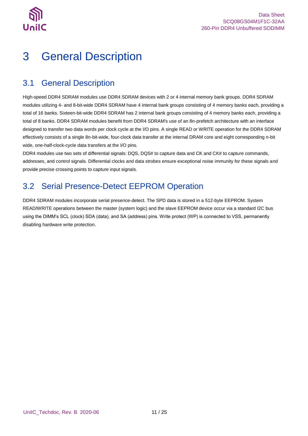

## <span id="page-10-0"></span>3 General Description

### <span id="page-10-1"></span>3.1 General Description

High-speed DDR4 SDRAM modules use DDR4 SDRAM devices with 2 or 4 internal memory bank groups. DDR4 SDRAM modules utilizing 4- and 8-bit-wide DDR4 SDRAM have 4 internal bank groups consisting of 4 memory banks each, providing a total of 16 banks. Sixteen-bit-wide DDR4 SDRAM has 2 internal bank groups consisting of 4 memory banks each, providing a total of 8 banks. DDR4 SDRAM modules benefit from DDR4 SDRAM's use of an 8n-prefetch architecture with an interface designed to transfer two data words per clock cycle at the I/O pins. A single READ or WRITE operation for the DDR4 SDRAM effectively consists of a single 8n-bit-wide, four-clock data transfer at the internal DRAM core and eight corresponding n-bit wide, one-half-clock-cycle data transfers at the I/O pins.

DDR4 modules use two sets of differential signals: DQS, DQS# to capture data and CK and CK# to capture commands, addresses, and control signals. Differential clocks and data strobes ensure exceptional noise immunity for these signals and provide precise crossing points to capture input signals.

### <span id="page-10-2"></span>3.2 Serial Presence-Detect EEPROM Operation

DDR4 SDRAM modules incorporate serial presence-detect. The SPD data is stored in a 512-byte EEPROM. System READ/WRITE operations between the master (system logic) and the slave EEPROM device occur via a standard I2C bus using the DIMM's SCL (clock) SDA (data), and SA (address) pins. Write protect (WP) is connected to VSS, permanently disabling hardware write protection.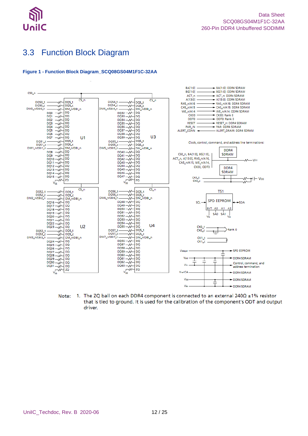

### <span id="page-11-0"></span>3.3 Function Block Diagram

#### <span id="page-11-1"></span>**Figure 1 - Function Block Diagram\_SCQ08GS04M1F1C-32AA**



1. The ZQ ball on each DDR4 component is connected to an external  $240\Omega \pm 1\%$  resistor Note: that is tied to ground. It is used for the calibration of the component's ODT and output driver.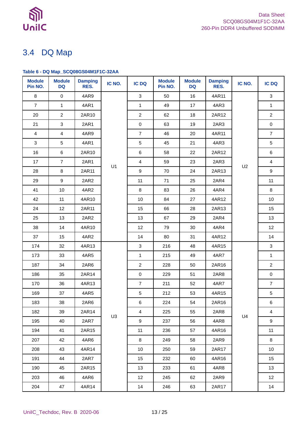

### <span id="page-12-0"></span>3.4 DQ Map

### <span id="page-12-1"></span>**Table 6 - DQ Map\_SCQ08GS04M1F1C-32AA**

| <b>Module</b><br>Pin NO. | <b>Module</b><br><b>DQ</b> | <b>Damping</b><br>RES. | IC NO.         | <b>IC DQ</b>    | <b>Module</b><br>Pin NO. | <b>Module</b><br><b>DQ</b> | <b>Damping</b><br>RES. | IC NO. | <b>IC DQ</b>            |
|--------------------------|----------------------------|------------------------|----------------|-----------------|--------------------------|----------------------------|------------------------|--------|-------------------------|
| 8                        | $\mathbf 0$                | 4AR9                   |                | 3               | 50                       | 16                         | 4AR11                  |        | 3                       |
| $\overline{7}$           | 1                          | 4AR1                   |                | $\mathbf{1}$    | 49                       | 17                         | 4AR3                   |        | $\mathbf{1}$            |
| 20                       | $\overline{2}$             | 2AR10                  |                | $\overline{2}$  | 62                       | 18                         | 2AR12                  |        | $\overline{2}$          |
| 21                       | $\mathbf 3$                | 2AR1                   |                | $\pmb{0}$       | 63                       | 19                         | 2AR3                   |        | $\mathbf 0$             |
| 4                        | $\overline{\mathbf{4}}$    | 4AR9                   |                | $\overline{7}$  | 46                       | 20                         | 4AR11                  |        | $\overline{7}$          |
| 3                        | 5                          | 4AR1                   |                | $\sqrt{5}$      | 45                       | 21                         | 4AR3                   |        | 5                       |
| 16                       | $\,6\,$                    | 2AR10                  |                | 6               | 58                       | 22                         | 2AR12                  |        | $\,6\,$                 |
| 17                       | $\overline{7}$             | 2AR1                   | U1             | $\overline{4}$  | 59                       | 23                         | 2AR3                   | U2     | $\overline{\mathbf{4}}$ |
| 28                       | 8                          | 2AR11                  |                | 9               | 70                       | 24                         | 2AR13                  |        | 9                       |
| 29                       | $\boldsymbol{9}$           | 2AR2                   |                | 11              | 71                       | 25                         | 2AR4                   |        | 11                      |
| 41                       | $10$                       | 4AR2                   |                | 8               | 83                       | 26                         | 4AR4                   |        | 8                       |
| 42                       | 11                         | 4AR10                  |                | 10              | 84                       | 27                         | 4AR12                  |        | 10                      |
| 24                       | 12                         | 2AR11                  |                | 15              | 66                       | 28                         | 2AR13                  |        | 15                      |
| 25                       | 13                         | 2AR2                   |                | 13              | 67                       | 29                         | 2AR4                   |        | 13                      |
| 38                       | 14                         | 4AR10                  |                | 12              | 79                       | 30                         | 4AR4                   |        | 12                      |
| 37                       | 15                         | 4AR2                   |                | 14              | 80                       | 31                         | 4AR12                  |        | 14                      |
| 174                      | 32                         | 4AR13                  |                | $\mathbf{3}$    | 216                      | 48                         | 4AR15                  |        | $\mathbf{3}$            |
| 173                      | 33                         | 4AR5                   |                | $\mathbf{1}$    | 215                      | 49                         | 4AR7                   |        | $\mathbf{1}$            |
| 187                      | 34                         | 2AR6                   |                | $\overline{2}$  | 228                      | 50                         | 2AR16                  |        | $\overline{2}$          |
| 186                      | 35                         | 2AR14                  |                | $\mathbf 0$     | 229                      | 51                         | 2AR8                   |        | $\mathsf{O}\xspace$     |
| 170                      | 36                         | 4AR13                  |                | $\overline{7}$  | 211                      | 52                         | 4AR7                   |        | $\overline{7}$          |
| 169                      | 37                         | 4AR5                   |                | $\sqrt{5}$      | 212                      | 53                         | 4AR15                  |        | $\,$ 5 $\,$             |
| 183                      | 38                         | 2AR6                   |                | 6               | 224                      | 54                         | 2AR16                  |        | 6                       |
| 182                      | 39                         | 2AR14                  | U <sub>3</sub> | 4               | 225                      | 55                         | 2AR8                   | U4     | $\overline{4}$          |
| 195                      | 40                         | 2AR7                   |                | 9               | 237                      | 56                         | 4AR8                   |        | 9                       |
| 194                      | 41                         | 2AR15                  |                | 11              | 236                      | 57                         | 4AR16                  |        | 11                      |
| 207                      | 42                         | 4AR6                   |                | 8               | 249                      | 58                         | 2AR9                   |        | 8                       |
| 208                      | 43                         | 4AR14                  |                | 10 <sup>1</sup> | 250                      | 59                         | 2AR17                  |        | 10                      |
| 191                      | 44                         | 2AR7                   |                | 15              | 232                      | 60                         | 4AR16                  |        | 15                      |
| 190                      | 45                         | 2AR15                  |                | 13              | 233                      | 61                         | 4AR8                   |        | 13                      |
| 203                      | 46                         | 4AR6                   |                | 12              | 245                      | 62                         | 2AR9                   |        | 12 <sup>°</sup>         |
| 204                      | 47                         | 4AR14                  |                | 14              | 246                      | 63                         | 2AR17                  |        | 14                      |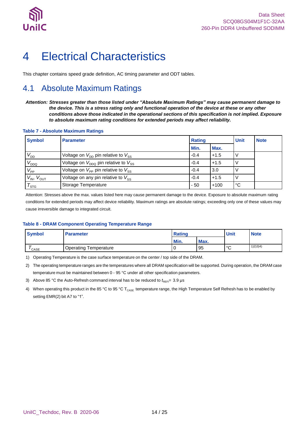

## <span id="page-13-0"></span>4 Electrical Characteristics

<span id="page-13-1"></span>This chapter contains speed grade definition, AC timing parameter and ODT tables.

### 4.1 Absolute Maximum Ratings

*Attention: Stresses greater than those listed under "Absolute Maximum Ratings" may cause permanent damage to the device. This is a stress rating only and functional operation of the device at these or any other conditions above those indicated in the operational sections of this specification is not implied. Exposure to absolute maximum rating conditions for extended periods may affect reliability.*

#### <span id="page-13-2"></span>**Table 7 - Absolute Maximum Ratings**

| <b>Symbol</b>        | <b>Parameter</b>                                           | <b>Rating</b> |        | Unit | <b>Note</b> |
|----------------------|------------------------------------------------------------|---------------|--------|------|-------------|
|                      |                                                            | Min.          | Max.   |      |             |
| $V_{DD}$             | Voltage on $V_{\text{DD}}$ pin relative to $V_{\text{SS}}$ | $-0.4$        | $+1.5$ |      |             |
| $V_{DDQ}$            | Voltage on $V_{DDO}$ pin relative to $V_{SS}$              | $-0.4$        | $+1.5$ |      |             |
| $V_{\mathsf{PP}}$    | Voltage on $V_{\text{PP}}$ pin relative to $V_{\text{SS}}$ | $-0.4$        | 3.0    |      |             |
| $V_{IN}$ , $V_{OUT}$ | Voltage on any pin relative to $V_{SS}$                    | $-0.4$        | $+1.5$ |      |             |
| $\tau_{\text{src}}$  | Storage Temperature                                        | $-50$         | $+100$ | °°C  |             |

Attention: Stresses above the max. values listed here may cause permanent damage to the device. Exposure to absolute maximum rating conditions for extended periods may affect device reliability. Maximum ratings are absolute ratings; exceeding only one of these values may cause irreversible damage to integrated circuit.

#### <span id="page-13-3"></span>**Table 8 - DRAM Component Operating Temperature Range**

| <b>Symbol</b> | <b>Parameter</b>             | <b>Rating</b> |      | <b>Unit</b>  | <b>Note</b> |
|---------------|------------------------------|---------------|------|--------------|-------------|
|               |                              | Min.          | Max. |              |             |
| ' CASE        | <b>Operating Temperature</b> |               | 95   | $\circ$<br>ັ | 1)2)3)4)    |

1) Operating Temperature is the case surface temperature on the center / top side of the DRAM.

2) The operating temperature ranges are the temperatures where all DRAM specification will be supported. During operation, the DRAM case temperature must be maintained between 0 - 95 °C under all other specification parameters.

- 3) Above 85 °C the Auto-Refresh command interval has to be reduced to  $t_{\text{REF}}$  = 3.9 µs
- 4) When operating this product in the 85 °C to 95 °C T<sub>CASE</sub> temperature range, the High Temperature Self Refresh has to be enabled by setting EMR(2) bit A7 to "1".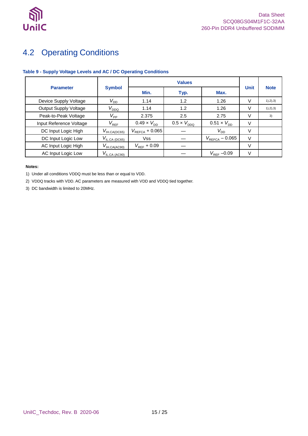

### <span id="page-14-0"></span>4.2 Operating Conditions

### <span id="page-14-1"></span>**Table 9 - Supply Voltage Levels and AC / DC Operating Conditions**

|                              |                                                 | <b>Values</b>               |                      |                            |             |             |
|------------------------------|-------------------------------------------------|-----------------------------|----------------------|----------------------------|-------------|-------------|
| <b>Parameter</b>             | <b>Symbol</b>                                   | Min.                        | Typ.                 | Max.                       | <b>Unit</b> | <b>Note</b> |
| Device Supply Voltage        | $V_{\mathsf{DD}}$                               | 1.14                        | 1.2                  | 1.26                       | V           | 1), 2), 3)  |
| <b>Output Supply Voltage</b> | $V_{DDQ}$                                       | 1.14                        | 1.2                  | 1.26                       | V           | 1), 2), 3)  |
| Peak-to-Peak Voltage         | $V_\mathsf{PP}$                                 | 2.375                       | 2.5                  | 2.75                       | V           | 3)          |
| Input Reference Voltage      | $V_{REF}$                                       | $0.49 \times V_{\text{DD}}$ | $0.5 \times V_{DDO}$ | $0.51 \times V_{DD}$       | V           |             |
| DC Input Logic High          | $V_{\text{IH.CA}(\underline{\mathsf{DC65}})}$   | $V_{REFCA} + 0.065$         |                      | $V_{DD}$                   | V           |             |
| DC Input Logic Low           | $V_{\text{ILCA (D\text{C65})}}$                 | <b>Vss</b>                  |                      | $V_{\text{REFCA}} - 0.065$ | $\vee$      |             |
| AC Input Logic High          | $V_{\mathsf{IH.CA}(\underline{\mathsf{AC90}})}$ | $V_{\text{RFE}} + 0.09$     |                      |                            | $\vee$      |             |
| AC Input Logic Low           | $V_{\text{IL.CA (AC90)}}$                       |                             |                      | $V_{\text{REF}}$ -0.09     | V           |             |

#### **Notes:**

1) Under all conditions VDDQ must be less than or equal to VDD.

2) VDDQ tracks with VDD. AC parameters are measured with VDD and VDDQ tied together.

3) DC bandwidth is limited to 20MHz.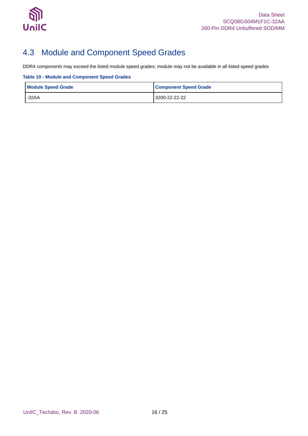

### <span id="page-15-0"></span>4.3 Module and Component Speed Grades

DDR4 components may exceed the listed module speed grades; module may not be available in all listed speed grades

<span id="page-15-1"></span>**Table 10 - Module and Component Speed Grades**

| <b>Module Speed Grade</b> | <b>Component Speed Grade</b> |
|---------------------------|------------------------------|
| $-32AA$                   | 3200-22-22-22                |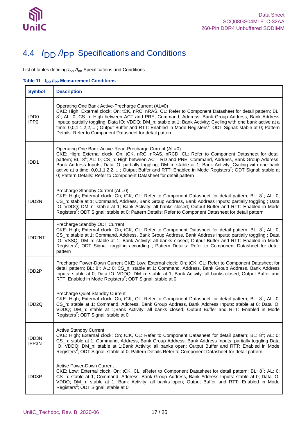

## <span id="page-16-0"></span>4.4 *I*DD */I*PP Specifications and Conditions

List of tables defining  $I_{\text{DD}}$  / $I_{\text{PP}}$  Specifications and Conditions.

<span id="page-16-1"></span>**Table 11 - IDD /IPP Measurement Conditions**

| <b>Symbol</b>                        | <b>Description</b>                                                                                                                                                                                                                                                                                                                                                                                                                                                                                                                                                                         |
|--------------------------------------|--------------------------------------------------------------------------------------------------------------------------------------------------------------------------------------------------------------------------------------------------------------------------------------------------------------------------------------------------------------------------------------------------------------------------------------------------------------------------------------------------------------------------------------------------------------------------------------------|
| IDD <sub>0</sub><br>IPP <sub>0</sub> | Operating One Bank Active-Precharge Current (AL=0)<br>CKE: High; External clock: On; tCK, nRC, nRAS, CL: Refer to Component Datasheet for detail pattern; BL:<br>8 <sup>1</sup> ; AL: 0; CS_n: High between ACT and PRE; Command, Address, Bank Group Address, Bank Address<br>Inputs: partially toggling; Data IO: VDDQ; DM_n: stable at 1; Bank Activity: Cycling with one bank active at a<br>time: 0,0,1,1,2,2,; Output Buffer and RTT: Enabled in Mode Registers <sup>2</sup> ; ODT Signal: stable at 0; Pattern<br>Details: Refer to Component Datasheet for detail pattern          |
| IDD1                                 | Operating One Bank Active-Read-Precharge Current (AL=0)<br>CKE: High; External clock: On; tCK, nRC, nRAS, nRCD, CL: Refer to Component Datasheet for detail<br>pattern; BL: 8 <sup>1</sup> ; AL: 0; CS_n: High between ACT, RD and PRE; Command, Address, Bank Group Address,<br>Bank Address Inputs, Data IO: partially toggling; DM_n: stable at 1; Bank Activity: Cycling with one bank<br>active at a time: 0,0,1,1,2,2,; Output Buffer and RTT: Enabled in Mode Registers <sup>2</sup> ; ODT Signal: stable at<br>0; Pattern Details: Refer to Component Datasheet for detail pattern |
| IDD2N                                | Precharge Standby Current (AL=0)<br>CKE: High; External clock: On; tCK, CL: Refer to Component Datasheet for detail pattern; BL: 8 <sup>1</sup> ; AL: 0;<br>CS_n: stable at 1; Command, Address, Bank Group Address, Bank Address Inputs: partially toggling ; Data<br>IO: VDDQ; DM_n: stable at 1; Bank Activity: all banks closed; Output Buffer and RTT: Enabled in Mode<br>Registers <sup>2</sup> ; ODT Signal: stable at 0; Pattern Details: Refer to Component Datasheet for detail pattern                                                                                          |
| <b>IDD2NT</b>                        | Precharge Standby ODT Current<br>CKE: High; External clock: On; tCK, CL: Refer to Component Datasheet for detail pattern; BL: 8 <sup>1</sup> ; AL: 0;<br>CS_n: stable at 1; Command, Address, Bank Group Address, Bank Address Inputs: partially toggling ; Data<br>IO: VSSQ; DM_n: stable at 1; Bank Activity: all banks closed; Output Buffer and RTT: Enabled in Mode<br>Registers <sup>2</sup> ; ODT Signal: toggling according ; Pattern Details: Refer to Component Datasheet for detail<br>pattern                                                                                  |
| IDD <sub>2P</sub>                    | Precharge Power-Down Current CKE: Low; External clock: On; tCK, CL: Refer to Component Datasheet for<br>detail pattern; BL: 8 <sup>1</sup> ; AL: 0; CS_n: stable at 1; Command, Address, Bank Group Address, Bank Address<br>Inputs: stable at 0; Data IO: VDDQ; DM_n: stable at 1; Bank Activity: all banks closed; Output Buffer and<br>RTT: Enabled in Mode Registers <sup>2</sup> ; ODT Signal: stable at 0                                                                                                                                                                            |
| IDD <sub>2Q</sub>                    | Precharge Quiet Standby Current<br>CKE: High; External clock: On; tCK, CL: Refer to Component Datasheet for detail pattern; BL: 8 <sup>1</sup> ; AL: 0;<br>CS_n: stable at 1; Command, Address, Bank Group Address, Bank Address Inputs: stable at 0; Data IO:<br>VDDQ; DM_n: stable at 1;Bank Activity: all banks closed; Output Buffer and RTT: Enabled in Mode<br>Registers <sup>2</sup> ; ODT Signal: stable at 0                                                                                                                                                                      |
| IDD3N<br>IPP3N                       | <b>Active Standby Current</b><br>CKE: High; External clock: On; tCK, CL: Refer to Component Datasheet for detail pattern; BL: 8 <sup>1</sup> ; AL: 0;<br>CS_n: stable at 1; Command, Address, Bank Group Address, Bank Address Inputs: partially toggling Data<br>IO: VDDQ; DM_n: stable at 1;Bank Activity: all banks open; Output Buffer and RTT: Enabled in Mode<br>Registers <sup>2</sup> ; ODT Signal: stable at 0; Pattern Details: Refer to Component Datasheet for detail pattern                                                                                                  |
| IDD3P                                | <b>Active Power-Down Current</b><br>CKE: Low; External clock: On; tCK, CL: sRefer to Component Datasheet for detail pattern; BL: 8 <sup>1</sup> ; AL: 0;<br>CS_n: stable at 1; Command, Address, Bank Group Address, Bank Address Inputs: stable at 0; Data IO:<br>VDDQ; DM_n: stable at 1; Bank Activity: all banks open; Output Buffer and RTT: Enabled in Mode<br>Registers <sup>2</sup> ; ODT Signal: stable at 0                                                                                                                                                                      |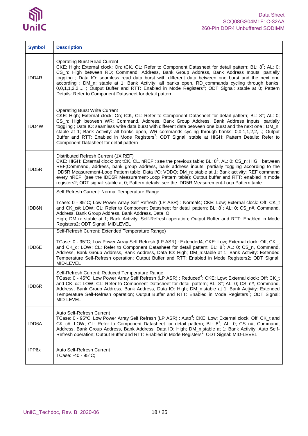# $\mathfrak{H}$ UnilC

| <b>Symbol</b> | <b>Description</b>                                                                                                                                                                                                                                                                                                                                                                                                                                                                                                                                                                                                                           |
|---------------|----------------------------------------------------------------------------------------------------------------------------------------------------------------------------------------------------------------------------------------------------------------------------------------------------------------------------------------------------------------------------------------------------------------------------------------------------------------------------------------------------------------------------------------------------------------------------------------------------------------------------------------------|
| IDD4R         | <b>Operating Burst Read Current</b><br>CKE: High; External clock: On; tCK, CL: Refer to Component Datasheet for detail pattern; BL: $8^2$ ; AL: 0;<br>CS_n: High between RD; Command, Address, Bank Group Address, Bank Address Inputs: partially<br>toggling; Data IO: seamless read data burst with different data between one burst and the next one<br>according; DM_n: stable at 1; Bank Activity: all banks open, RD commands cycling through banks:<br>$0,0,1,1,2,2,$ ; Output Buffer and RTT: Enabled in Mode Registers <sup>2</sup> ; ODT Signal: stable at 0; Pattern<br>Details: Refer to Component Datasheet for detail pattern  |
| IDD4W         | <b>Operating Burst Write Current</b><br>CKE: High; External clock: On; tCK, CL: Refer to Component Datasheet for detail pattern; BL: 8 <sup>1</sup> ; AL: 0;<br>CS_n: High between WR; Command, Address, Bank Group Address, Bank Address Inputs: partially<br>toggling; Data IO: seamless write data burst with different data between one burst and the next one; DM_n:<br>stable at 1; Bank Activity: all banks open, WR commands cycling through banks: 0,0,1,1,2,2,; Output<br>Buffer and RTT: Enabled in Mode Registers <sup>2</sup> ; ODT Signal: stable at HIGH; Pattern Details: Refer to<br>Component Datasheet for detail pattern |
| IDD5R         | Distributed Refresh Current (1X REF)<br>CKE: HIGH; External clock: on; tCK, CL, nREFI: see the previous table; BL: 8 <sup>1</sup> , AL: 0; CS_n: HIGH between<br>REF;Command, address, bank group address, bank address inputs: partially toggling according to the<br>IDD5R Measurement-Loop Pattern table; Data I/O: VDDQ; DM_n: stable at 1; Bank activity: REF command<br>every nREFI (see the IDD5R Measurement-Loop Pattern table); Output buffer and RTT: enabled in mode<br>registers2; ODT signal: stable at 0; Pattern details: see the IDD5R Measurement-Loop Pattern table                                                       |
|               | Self Refresh Current: Normal Temperature Range                                                                                                                                                                                                                                                                                                                                                                                                                                                                                                                                                                                               |
| IDD6N         | Tcase: 0 - 85°C; Low Power Array Self Refresh (LP ASR) : Normal4; CKE: Low; External clock: Off; CK_t<br>and CK_c#: LOW; CL: Refer to Component Datasheet for detail pattern; BL: 8 <sup>1</sup> ; AL: 0; CS_n#, Command,<br>Address, Bank Group Address, Bank Address, Data IO:<br>High; DM n: stable at 1; Bank Activity: Self-Refresh operation; Output Buffer and RTT: Enabled in Mode<br>Registers2; ODT Signal: MIDLEVEL                                                                                                                                                                                                               |
|               | Self-Refresh Current: Extended Temperature Range)                                                                                                                                                                                                                                                                                                                                                                                                                                                                                                                                                                                            |
| IDD6E         | TCase: 0 - 95°C; Low Power Array Self Refresh (LP ASR) : Extended4; CKE: Low; External clock: Off; CK_t<br>and CK_c: LOW; CL: Refer to Component Datasheet for detail pattern; BL: 8 <sup>1</sup> ; AL: 0; CS_n, Command,<br>Address, Bank Group Address, Bank Address, Data IO: High; DM n:stable at 1; Bank Activity: Extended<br>Temperature Self-Refresh operation; Output Buffer and RTT: Enabled in Mode Registers2; ODT Signal:<br>MID-LEVEL                                                                                                                                                                                          |
| IDD6R         | Self-Refresh Current: Reduced Temperature Range<br>TCase: 0 - 45°C; Low Power Array Self Refresh (LP ASR) : Reduced <sup>4</sup> ; CKE: Low; External clock: Off; CK_t<br>and CK_c#: LOW; CL: Refer to Component Datasheet for detail pattern; BL: 8 <sup>1</sup> ; AL: 0; CS_n#, Command,<br>Address, Bank Group Address, Bank Address, Data IO: High; DM_n:stable at 1; Bank Activity: Extended<br>Temperature Self-Refresh operation; Output Buffer and RTT: Enabled in Mode Registers <sup>2</sup> ; ODT Signal:<br>MID-LEVEL                                                                                                            |
| IDD6A         | Auto Self-Refresh Current<br>TCase: 0 - 95°C; Low Power Array Self Refresh (LP ASR) : Auto <sup>4</sup> ; CKE: Low; External clock: Off; CK_t and<br>CK_c#: LOW; CL: Refer to Component Datasheet for detail pattern; BL: $8^1$ ; AL: 0; CS_n#, Command,<br>Address, Bank Group Address, Bank Address, Data IO: High; DM_n:stable at 1; Bank Activity: Auto Self-<br>Refresh operation; Output Buffer and RTT: Enabled in Mode Registers <sup>2</sup> ; ODT Signal: MID-LEVEL                                                                                                                                                                |
| IPP6x         | Auto Self-Refresh Current<br>TCase: -40 - 95°C;                                                                                                                                                                                                                                                                                                                                                                                                                                                                                                                                                                                              |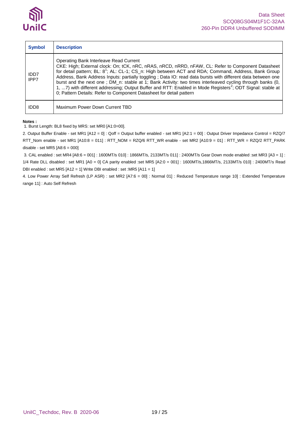

| <b>Symbol</b>    | <b>Description</b>                                                                                                                                                                                                                                                                                                                                                                                                                                                                                                                                                                                                                                                                          |
|------------------|---------------------------------------------------------------------------------------------------------------------------------------------------------------------------------------------------------------------------------------------------------------------------------------------------------------------------------------------------------------------------------------------------------------------------------------------------------------------------------------------------------------------------------------------------------------------------------------------------------------------------------------------------------------------------------------------|
| IDD7<br>IPP7     | Operating Bank Interleave Read Current<br>CKE: High; External clock: On; tCK, nRC, nRAS, nRCD, nRRD, nFAW, CL: Refer to Component Datasheet<br>for detail pattern; BL: 8 <sup>1</sup> ; AL: CL-1; CS_n: High between ACT and RDA; Command, Address, Bank Group<br>Address, Bank Address Inputs: partially toggling; Data IO: read data bursts with different data between one<br>burst and the next one; DM_n: stable at 1; Bank Activity: two times interleaved cycling through banks (0,<br>1, 7) with different addressing; Output Buffer and RTT: Enabled in Mode Registers <sup>2</sup> ; ODT Signal: stable at<br>0; Pattern Details: Refer to Component Datasheet for detail pattern |
| IDD <sub>8</sub> | Maximum Power Down Current TBD                                                                                                                                                                                                                                                                                                                                                                                                                                                                                                                                                                                                                                                              |

#### **Notes :**

1. Burst Length: BL8 fixed by MRS: set MR0 [A1:0=00].

2. Output Buffer Enable - set MR1 [A12 = 0] : Qoff = Output buffer enabled - set MR1 [A2:1 = 00] : Output Driver Impedance Control = RZQ/7 RTT\_Nom enable - set MR1 [A10:8 = 011] : RTT\_NOM = RZQ/6 RTT\_WR enable - set MR2 [A10:9 = 01] : RTT\_WR = RZQ/2 RTT\_PARK disable - set MR5 [A8:6 = 000]

3. CAL enabled : set MR4 [A8:6 = 001] : 1600MT/s 010] : 1866MT/s, 2133MT/s 011] : 2400MT/s Gear Down mode enabled :set MR3 [A3 = 1] : 1/4 Rate DLL disabled : set MR1 [A0 = 0] CA parity enabled :set MR5 [A2:0 = 001] : 1600MT/s,1866MT/s, 2133MT/s 010] : 2400MT/s Read DBI enabled : set MR5 [A12 = 1] Write DBI enabled : set :MR5 [A11 = 1]

4. Low Power Array Self Refresh (LP ASR) : set MR2 [A7:6 = 00] : Normal 01] : Reduced Temperature range 10] : Extended Temperature range 11] : Auto Self Refresh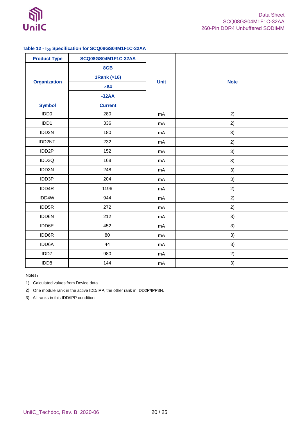

### <span id="page-19-0"></span>**Table 12 - IDD Specification for SCQ08GS04M1F1C-32AA**

| <b>Product Type</b> | SCQ08GS04M1F1C-32AA |             |             |
|---------------------|---------------------|-------------|-------------|
| <b>Organization</b> | 8GB                 | <b>Unit</b> |             |
|                     | 1Rank (x16)         |             |             |
|                     | $\times 64$         |             | <b>Note</b> |
|                     | $-32AA$             |             |             |
| <b>Symbol</b>       | <b>Current</b>      |             |             |
| IDD <sub>0</sub>    | 280                 | mA          | 2)          |
| IDD1                | 336                 | mA          | 2)          |
| IDD2N               | 180                 | mA          | 3)          |
| IDD2NT              | 232                 | mA          | 2)          |
| IDD2P               | 152                 | mA          | 3)          |
| IDD2Q               | 168                 | mA          | 3)          |
| IDD3N               | 248                 | mA          | 3)          |
| IDD3P               | 204                 | mA          | 3)          |
| IDD4R               | 1196                | mA          | 2)          |
| IDD4W               | 944                 | mA          | 2)          |
| IDD5R               | 272                 | mA          | 2)          |
| IDD6N               | 212                 | mA          | 3)          |
| IDD6E               | 452                 | mA          | 3)          |
| IDD6R               | 80                  | mA          | 3)          |
| IDD6A               | 44                  | mA          | 3)          |
| IDD7                | 980                 | mA          | 2)          |
| IDD8                | 144                 | mA          | 3)          |

Notes:

1) Calculated values from Device data.

2) One module rank in the active IDD/IPP, the other rank in IDD2P/IPP3N.

3) All ranks in this IDD/IPP condition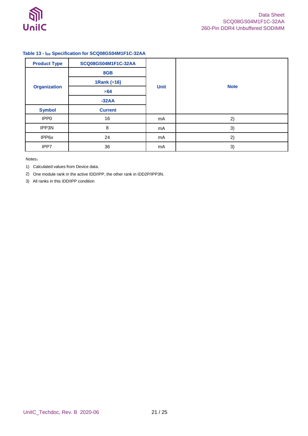

### <span id="page-20-0"></span>**Table 13 - IPP Specification for SCQ08GS04M1F1C-32AA**

| <b>Product Type</b> | SCQ08GS04M1F1C-32AA | <b>Unit</b> | <b>Note</b> |
|---------------------|---------------------|-------------|-------------|
|                     | 8GB                 |             |             |
|                     | 1Rank $(x16)$       |             |             |
| <b>Organization</b> | $\times 64$         |             |             |
|                     | $-32AA$             |             |             |
| <b>Symbol</b>       | <b>Current</b>      |             |             |
| IPP <sub>0</sub>    | 16                  | mA          | 2)          |
| IPP3N               | 8                   | mA          | 3)          |
| IPP6x               | 24                  | mA          | 2)          |
| IPP7                | 36                  | mA          | 3)          |

Notes:

1) Calculated values from Device data.

2) One module rank in the active IDD/IPP, the other rank in IDD2P/IPP3N.

3) All ranks in this IDD/IPP condition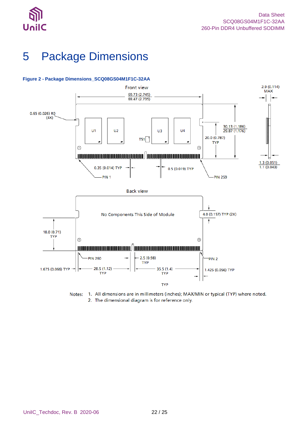

# <span id="page-21-0"></span>5 Package Dimensions



### <span id="page-21-1"></span>**Figure 2 - Package Dimensions\_SCQ08GS04M1F1C-32AA**

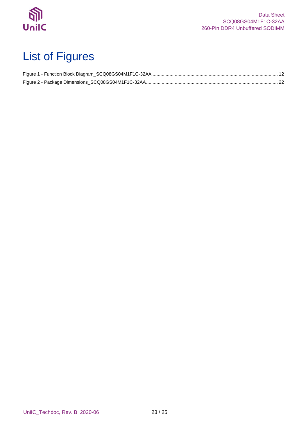

# <span id="page-22-0"></span>List of Figures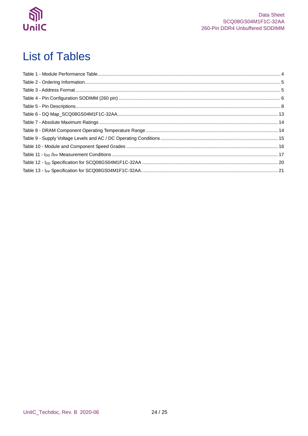

## <span id="page-23-0"></span>**List of Tables**